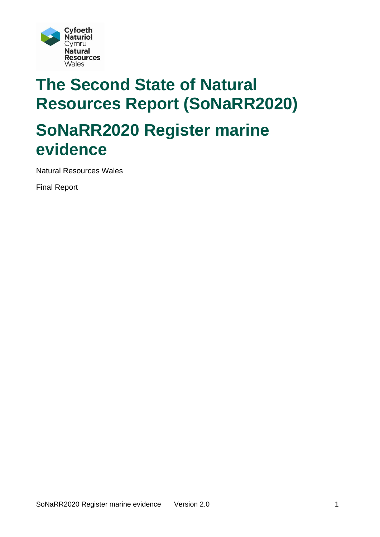

# **The Second State of Natural Resources Report (SoNaRR2020) SoNaRR2020 Register marine evidence**

Natural Resources Wales

Final Report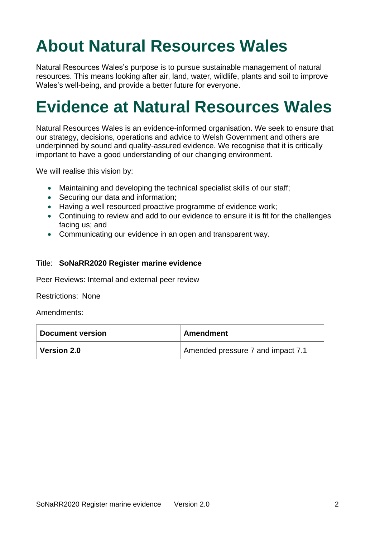# **About Natural Resources Wales**

Natural Resources Wales's purpose is to pursue sustainable management of natural resources. This means looking after air, land, water, wildlife, plants and soil to improve Wales's well-being, and provide a better future for everyone.

# **Evidence at Natural Resources Wales**

Natural Resources Wales is an evidence-informed organisation. We seek to ensure that our strategy, decisions, operations and advice to Welsh Government and others are underpinned by sound and quality-assured evidence. We recognise that it is critically important to have a good understanding of our changing environment.

We will realise this vision by:

- Maintaining and developing the technical specialist skills of our staff;
- Securing our data and information;
- Having a well resourced proactive programme of evidence work;
- Continuing to review and add to our evidence to ensure it is fit for the challenges facing us; and
- Communicating our evidence in an open and transparent way.

#### Title: **SoNaRR2020 Register marine evidence**

Peer Reviews: Internal and external peer review

Restrictions: None

Amendments:

| <b>Document version</b> | Amendment                         |
|-------------------------|-----------------------------------|
| <b>Version 2.0</b>      | Amended pressure 7 and impact 7.1 |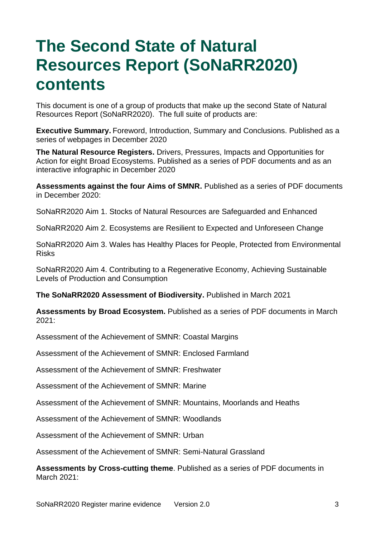# **The Second State of Natural Resources Report (SoNaRR2020) contents**

This document is one of a group of products that make up the second State of Natural Resources Report (SoNaRR2020). The full suite of products are:

**Executive Summary.** Foreword, Introduction, Summary and Conclusions. Published as a series of webpages in December 2020

**The Natural Resource Registers.** Drivers, Pressures, Impacts and Opportunities for Action for eight Broad Ecosystems. Published as a series of PDF documents and as an interactive infographic in December 2020

**Assessments against the four Aims of SMNR.** Published as a series of PDF documents in December 2020:

SoNaRR2020 Aim 1. Stocks of Natural Resources are Safeguarded and Enhanced

SoNaRR2020 Aim 2. Ecosystems are Resilient to Expected and Unforeseen Change

SoNaRR2020 Aim 3. Wales has Healthy Places for People, Protected from Environmental Risks

SoNaRR2020 Aim 4. Contributing to a Regenerative Economy, Achieving Sustainable Levels of Production and Consumption

**The SoNaRR2020 Assessment of Biodiversity.** Published in March 2021

**Assessments by Broad Ecosystem.** Published as a series of PDF documents in March 2021:

Assessment of the Achievement of SMNR: Coastal Margins

Assessment of the Achievement of SMNR: Enclosed Farmland

Assessment of the Achievement of SMNR: Freshwater

Assessment of the Achievement of SMNR: Marine

Assessment of the Achievement of SMNR: Mountains, Moorlands and Heaths

Assessment of the Achievement of SMNR: Woodlands

Assessment of the Achievement of SMNR: Urban

Assessment of the Achievement of SMNR: Semi-Natural Grassland

**Assessments by Cross-cutting theme**. Published as a series of PDF documents in March 2021: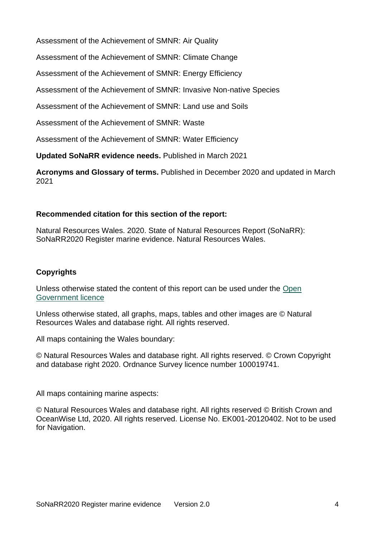Assessment of the Achievement of SMNR: Air Quality

Assessment of the Achievement of SMNR: Climate Change

Assessment of the Achievement of SMNR: Energy Efficiency

Assessment of the Achievement of SMNR: Invasive Non-native Species

Assessment of the Achievement of SMNR: Land use and Soils

Assessment of the Achievement of SMNR: Waste

Assessment of the Achievement of SMNR: Water Efficiency

**Updated SoNaRR evidence needs.** Published in March 2021

**Acronyms and Glossary of terms.** Published in December 2020 and updated in March 2021

### **Recommended citation for this section of the report:**

Natural Resources Wales. 2020. State of Natural Resources Report (SoNaRR): SoNaRR2020 Register marine evidence. Natural Resources Wales.

### **Copyrights**

Unless otherwise stated the content of this report can be used under the [Open](http://www.nationalarchives.gov.uk/doc/open-government-licence/version/3/)  [Government licence](http://www.nationalarchives.gov.uk/doc/open-government-licence/version/3/)

Unless otherwise stated, all graphs, maps, tables and other images are © Natural Resources Wales and database right. All rights reserved.

All maps containing the Wales boundary:

© Natural Resources Wales and database right. All rights reserved. © Crown Copyright and database right 2020. Ordnance Survey licence number 100019741.

All maps containing marine aspects:

© Natural Resources Wales and database right. All rights reserved © British Crown and OceanWise Ltd, 2020. All rights reserved. License No. EK001-20120402. Not to be used for Navigation.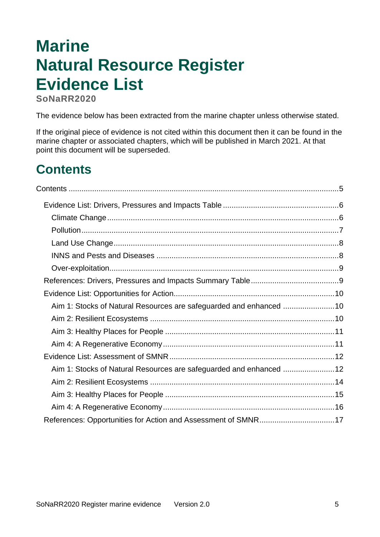# **Marine Natural Resource Register Evidence List**

**SoNaRR2020**

<span id="page-4-0"></span>The evidence below has been extracted from the marine chapter unless otherwise stated.

If the original piece of evidence is not cited within this document then it can be found in the marine chapter or associated chapters, which will be published in March 2021. At that point this document will be superseded.

# **Contents**

| Aim 1: Stocks of Natural Resources are safeguarded and enhanced 10 |  |
|--------------------------------------------------------------------|--|
|                                                                    |  |
|                                                                    |  |
|                                                                    |  |
|                                                                    |  |
| Aim 1: Stocks of Natural Resources are safeguarded and enhanced 12 |  |
|                                                                    |  |
|                                                                    |  |
|                                                                    |  |
| References: Opportunities for Action and Assessment of SMNR17      |  |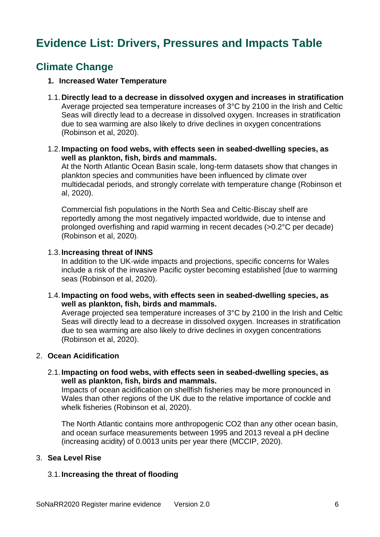## <span id="page-5-0"></span>**Evidence List: Drivers, Pressures and Impacts Table**

## <span id="page-5-1"></span>**Climate Change**

#### **1. Increased Water Temperature**

- 1.1.**Directly lead to a decrease in dissolved oxygen and increases in stratification** Average projected sea temperature increases of 3°C by 2100 in the Irish and Celtic Seas will directly lead to a decrease in dissolved oxygen. Increases in stratification due to sea warming are also likely to drive declines in oxygen concentrations (Robinson et al, 2020).
- 1.2.**Impacting on food webs, with effects seen in seabed-dwelling species, as well as plankton, fish, birds and mammals.**

At the North Atlantic Ocean Basin scale, long-term datasets show that changes in plankton species and communities have been influenced by climate over multidecadal periods, and strongly correlate with temperature change (Robinson et al, 2020).

Commercial fish populations in the North Sea and Celtic-Biscay shelf are reportedly among the most negatively impacted worldwide, due to intense and prolonged overfishing and rapid warming in recent decades (>0.2°C per decade) (Robinson et al, 2020).

#### 1.3.**Increasing threat of INNS**

In addition to the UK-wide impacts and projections, specific concerns for Wales include a risk of the invasive Pacific oyster becoming established [due to warming seas (Robinson et al, 2020).

1.4.**Impacting on food webs, with effects seen in seabed-dwelling species, as well as plankton, fish, birds and mammals.**

Average projected sea temperature increases of 3°C by 2100 in the Irish and Celtic Seas will directly lead to a decrease in dissolved oxygen. Increases in stratification due to sea warming are also likely to drive declines in oxygen concentrations (Robinson et al, 2020).

#### 2. **Ocean Acidification**

2.1.**Impacting on food webs, with effects seen in seabed-dwelling species, as well as plankton, fish, birds and mammals.**

Impacts of ocean acidification on shellfish fisheries may be more pronounced in Wales than other regions of the UK due to the relative importance of cockle and whelk fisheries (Robinson et al, 2020).

The North Atlantic contains more anthropogenic CO2 than any other ocean basin, and ocean surface measurements between 1995 and 2013 reveal a pH decline (increasing acidity) of 0.0013 units per year there (MCCIP, 2020).

#### 3. **Sea Level Rise**

### 3.1.**Increasing the threat of flooding**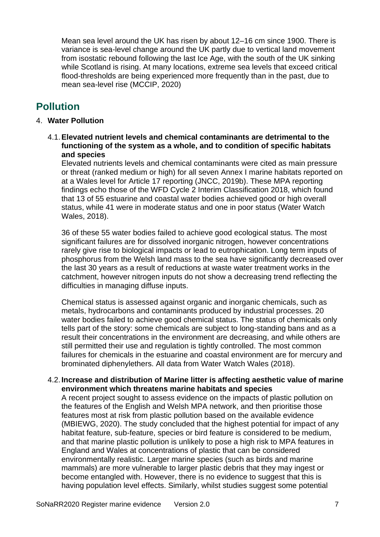Mean sea level around the UK has risen by about 12–16 cm since 1900. There is variance is sea-level change around the UK partly due to vertical land movement from isostatic rebound following the last Ice Age, with the south of the UK sinking while Scotland is rising. At many locations, extreme sea levels that exceed critical flood-thresholds are being experienced more frequently than in the past, due to mean sea-level rise (MCCIP, 2020)

## <span id="page-6-0"></span>**Pollution**

#### 4. **Water Pollution**

4.1.**Elevated nutrient levels and chemical contaminants are detrimental to the functioning of the system as a whole, and to condition of specific habitats and species**

Elevated nutrients levels and chemical contaminants were cited as main pressure or threat (ranked medium or high) for all seven Annex I marine habitats reported on at a Wales level for Article 17 reporting (JNCC, 2019b). These MPA reporting findings echo those of the WFD Cycle 2 Interim Classification 2018, which found that 13 of 55 estuarine and coastal water bodies achieved good or high overall status, while 41 were in moderate status and one in poor status (Water Watch Wales, 2018).

36 of these 55 water bodies failed to achieve good ecological status. The most significant failures are for dissolved inorganic nitrogen, however concentrations rarely give rise to biological impacts or lead to eutrophication. Long term inputs of phosphorus from the Welsh land mass to the sea have significantly decreased over the last 30 years as a result of reductions at waste water treatment works in the catchment, however nitrogen inputs do not show a decreasing trend reflecting the difficulties in managing diffuse inputs.

Chemical status is assessed against organic and inorganic chemicals, such as metals, hydrocarbons and contaminants produced by industrial processes. 20 water bodies failed to achieve good chemical status. The status of chemicals only tells part of the story: some chemicals are subject to long-standing bans and as a result their concentrations in the environment are decreasing, and while others are still permitted their use and regulation is tightly controlled. The most common failures for chemicals in the estuarine and coastal environment are for mercury and brominated diphenylethers. All data from Water Watch Wales (2018).

#### 4.2.**Increase and distribution of Marine litter is affecting aesthetic value of marine environment which threatens marine habitats and species**

A recent project sought to assess evidence on the impacts of plastic pollution on the features of the English and Welsh MPA network, and then prioritise those features most at risk from plastic pollution based on the available evidence (MBIEWG, 2020). The study concluded that the highest potential for impact of any habitat feature, sub-feature, species or bird feature is considered to be medium, and that marine plastic pollution is unlikely to pose a high risk to MPA features in England and Wales at concentrations of plastic that can be considered environmentally realistic. Larger marine species (such as birds and marine mammals) are more vulnerable to larger plastic debris that they may ingest or become entangled with. However, there is no evidence to suggest that this is having population level effects. Similarly, whilst studies suggest some potential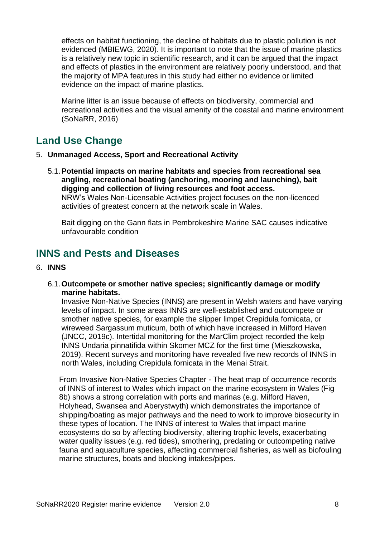effects on habitat functioning, the decline of habitats due to plastic pollution is not evidenced (MBIEWG, 2020). It is important to note that the issue of marine plastics is a relatively new topic in scientific research, and it can be argued that the impact and effects of plastics in the environment are relatively poorly understood, and that the majority of MPA features in this study had either no evidence or limited evidence on the impact of marine plastics.

Marine litter is an issue because of effects on biodiversity, commercial and recreational activities and the visual amenity of the coastal and marine environment (SoNaRR, 2016)

## <span id="page-7-0"></span>**Land Use Change**

- 5. **Unmanaged Access, Sport and Recreational Activity**
	- 5.1.**Potential impacts on marine habitats and species from recreational sea angling, recreational boating (anchoring, mooring and launching), bait digging and collection of living resources and foot access.** NRW's Wales Non-Licensable Activities project focuses on the non-licenced activities of greatest concern at the network scale in Wales.

Bait digging on the Gann flats in Pembrokeshire Marine SAC causes indicative unfavourable condition

## <span id="page-7-1"></span>**INNS and Pests and Diseases**

#### 6. **INNS**

#### 6.1.**Outcompete or smother native species; significantly damage or modify marine habitats.**

Invasive Non-Native Species (INNS) are present in Welsh waters and have varying levels of impact. In some areas INNS are well-established and outcompete or smother native species, for example the slipper limpet Crepidula fornicata, or wireweed Sargassum muticum, both of which have increased in Milford Haven (JNCC, 2019c). Intertidal monitoring for the MarClim project recorded the kelp INNS Undaria pinnatifida within Skomer MCZ for the first time (Mieszkowska, 2019). Recent surveys and monitoring have revealed five new records of INNS in north Wales, including Crepidula fornicata in the Menai Strait.

From Invasive Non-Native Species Chapter - The heat map of occurrence records of INNS of interest to Wales which impact on the marine ecosystem in Wales (Fig 8b) shows a strong correlation with ports and marinas (e.g. Milford Haven, Holyhead, Swansea and Aberystwyth) which demonstrates the importance of shipping/boating as major pathways and the need to work to improve biosecurity in these types of location. The INNS of interest to Wales that impact marine ecosystems do so by affecting biodiversity, altering trophic levels, exacerbating water quality issues (e.g. red tides), smothering, predating or outcompeting native fauna and aquaculture species, affecting commercial fisheries, as well as biofouling marine structures, boats and blocking intakes/pipes.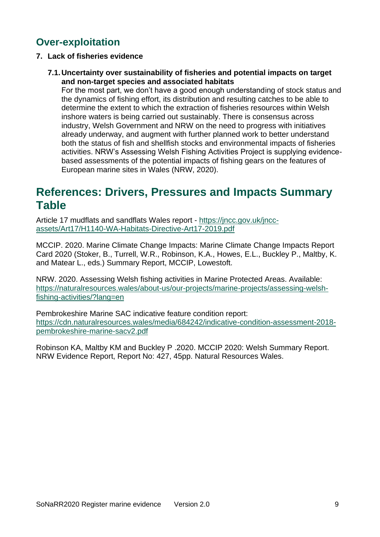## <span id="page-8-0"></span>**Over-exploitation**

- **7. Lack of fisheries evidence**
	- **7.1.Uncertainty over sustainability of fisheries and potential impacts on target and non-target species and associated habitats**

For the most part, we don't have a good enough understanding of stock status and the dynamics of fishing effort, its distribution and resulting catches to be able to determine the extent to which the extraction of fisheries resources within Welsh inshore waters is being carried out sustainably. There is consensus across industry, Welsh Government and NRW on the need to progress with initiatives already underway, and augment with further planned work to better understand both the status of fish and shellfish stocks and environmental impacts of fisheries activities. NRW's Assessing Welsh Fishing Activities Project is supplying evidencebased assessments of the potential impacts of fishing gears on the features of European marine sites in Wales (NRW, 2020).

## <span id="page-8-1"></span>**References: Drivers, Pressures and Impacts Summary Table**

Article 17 mudflats and sandflats Wales report - [https://jncc.gov.uk/jncc](https://jncc.gov.uk/jncc-assets/Art17/H1140-WA-Habitats-Directive-Art17-2019.pdf)[assets/Art17/H1140-WA-Habitats-Directive-Art17-2019.pdf](https://jncc.gov.uk/jncc-assets/Art17/H1140-WA-Habitats-Directive-Art17-2019.pdf)

MCCIP. 2020. Marine Climate Change Impacts: Marine Climate Change Impacts Report Card 2020 (Stoker, B., Turrell, W.R., Robinson, K.A., Howes, E.L., Buckley P., Maltby, K. and Matear L., eds.) Summary Report, MCCIP, Lowestoft.

NRW. 2020. Assessing Welsh fishing activities in Marine Protected Areas. Available: [https://naturalresources.wales/about-us/our-projects/marine-projects/assessing-welsh](https://naturalresources.wales/about-us/our-projects/marine-projects/assessing-welsh-fishing-activities/?lang=en)[fishing-activities/?lang=en](https://naturalresources.wales/about-us/our-projects/marine-projects/assessing-welsh-fishing-activities/?lang=en)

Pembrokeshire Marine SAC indicative feature condition report: [https://cdn.naturalresources.wales/media/684242/indicative-condition-assessment-2018](https://cdn.naturalresources.wales/media/684242/indicative-condition-assessment-2018-pembrokeshire-marine-sacv2.pdf) [pembrokeshire-marine-sacv2.pdf](https://cdn.naturalresources.wales/media/684242/indicative-condition-assessment-2018-pembrokeshire-marine-sacv2.pdf)

Robinson KA, Maltby KM and Buckley P .2020. MCCIP 2020: Welsh Summary Report. NRW Evidence Report, Report No: 427, 45pp. Natural Resources Wales.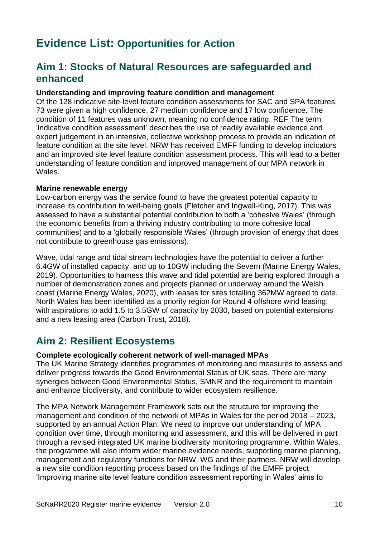## <span id="page-9-0"></span>**Evidence List: Opportunities for Action**

## <span id="page-9-1"></span>**Aim 1: Stocks of Natural Resources are safeguarded and enhanced**

#### **Understanding and improving feature condition and management**

Of the 128 indicative site-level feature condition assessments for SAC and SPA features, 73 were given a high confidence, 27 medium confidence and 17 low confidence. The condition of 11 features was unknown, meaning no confidence rating. REF The term 'indicative condition assessment' describes the use of readily available evidence and expert judgement in an intensive, collective workshop process to provide an indication of feature condition at the site level. NRW has received EMFF funding to develop indicators and an improved site level feature condition assessment process. This will lead to a better understanding of feature condition and improved management of our MPA network in Wales.

#### **Marine renewable energy**

Low-carbon energy was the service found to have the greatest potential capacity to increase its contribution to well-being goals (Fletcher and Ingwall-King, 2017). This was assessed to have a substantial potential contribution to both a 'cohesive Wales' (through the economic benefits from a thriving industry contributing to more cohesive local communities) and to a 'globally responsible Wales' (through provision of energy that does not contribute to greenhouse gas emissions).

Wave, tidal range and tidal stream technologies have the potential to deliver a further 6.4GW of installed capacity, and up to 10GW including the Severn (Marine Energy Wales, 2019). Opportunities to harness this wave and tidal potential are being explored through a number of demonstration zones and projects planned or underway around the Welsh coast (Marine Energy Wales, 2020), with leases for sites totalling 362MW agreed to date. North Wales has been identified as a priority region for Round 4 offshore wind leasing, with aspirations to add 1.5 to 3.5GW of capacity by 2030, based on potential extensions and a new leasing area (Carbon Trust, 2018).

## <span id="page-9-2"></span>**Aim 2: Resilient Ecosystems**

#### **Complete ecologically coherent network of well-managed MPAs**

The UK Marine Strategy identifies programmes of monitoring and measures to assess and deliver progress towards the Good Environmental Status of UK seas. There are many synergies between Good Environmental Status, SMNR and the requirement to maintain and enhance biodiversity, and contribute to wider ecosystem resilience.

The MPA Network Management Framework sets out the structure for improving the management and condition of the network of MPAs in Wales for the period 2018 – 2023, supported by an annual Action Plan. We need to improve our understanding of MPA condition over time, through monitoring and assessment, and this will be delivered in part through a revised integrated UK marine biodiversity monitoring programme. Within Wales, the programme will also inform wider marine evidence needs, supporting marine planning, management and regulatory functions for NRW, WG and their partners. NRW will develop a new site condition reporting process based on the findings of the EMFF project 'Improving marine site level feature condition assessment reporting in Wales' aims to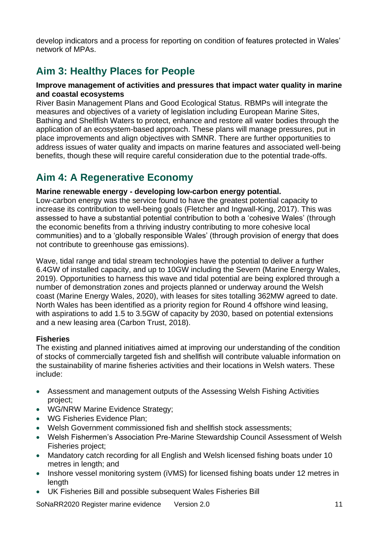develop indicators and a process for reporting on condition of features protected in Wales' network of MPAs.

## <span id="page-10-0"></span>**Aim 3: Healthy Places for People**

#### **Improve management of activities and pressures that impact water quality in marine and coastal ecosystems**

River Basin Management Plans and Good Ecological Status. RBMPs will integrate the measures and objectives of a variety of legislation including European Marine Sites, Bathing and Shellfish Waters to protect, enhance and restore all water bodies through the application of an ecosystem-based approach. These plans will manage pressures, put in place improvements and align objectives with SMNR. There are further opportunities to address issues of water quality and impacts on marine features and associated well-being benefits, though these will require careful consideration due to the potential trade-offs.

## <span id="page-10-1"></span>**Aim 4: A Regenerative Economy**

### **Marine renewable energy - developing low-carbon energy potential.**

Low-carbon energy was the service found to have the greatest potential capacity to increase its contribution to well-being goals (Fletcher and Ingwall-King, 2017). This was assessed to have a substantial potential contribution to both a 'cohesive Wales' (through the economic benefits from a thriving industry contributing to more cohesive local communities) and to a 'globally responsible Wales' (through provision of energy that does not contribute to greenhouse gas emissions).

Wave, tidal range and tidal stream technologies have the potential to deliver a further 6.4GW of installed capacity, and up to 10GW including the Severn (Marine Energy Wales, 2019). Opportunities to harness this wave and tidal potential are being explored through a number of demonstration zones and projects planned or underway around the Welsh coast (Marine Energy Wales, 2020), with leases for sites totalling 362MW agreed to date. North Wales has been identified as a priority region for Round 4 offshore wind leasing, with aspirations to add 1.5 to 3.5GW of capacity by 2030, based on potential extensions and a new leasing area (Carbon Trust, 2018).

#### **Fisheries**

The existing and planned initiatives aimed at improving our understanding of the condition of stocks of commercially targeted fish and shellfish will contribute valuable information on the sustainability of marine fisheries activities and their locations in Welsh waters. These include:

- Assessment and management outputs of the Assessing Welsh Fishing Activities project;
- WG/NRW Marine Evidence Strategy;
- WG Fisheries Evidence Plan;
- Welsh Government commissioned fish and shellfish stock assessments;
- Welsh Fishermen's Association Pre-Marine Stewardship Council Assessment of Welsh Fisheries project;
- Mandatory catch recording for all English and Welsh licensed fishing boats under 10 metres in length; and
- Inshore vessel monitoring system (iVMS) for licensed fishing boats under 12 metres in length
- UK Fisheries Bill and possible subsequent Wales Fisheries Bill

SoNaRR2020 Register marine evidence Version 2.0 11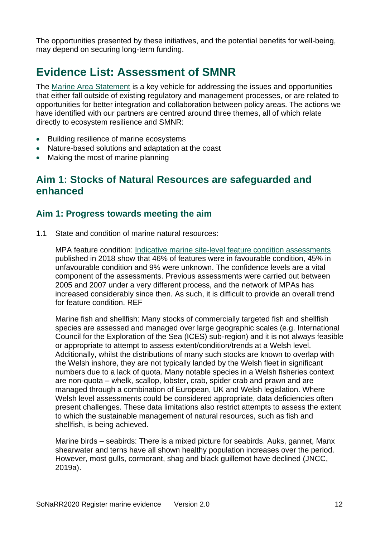The opportunities presented by these initiatives, and the potential benefits for well-being, may depend on securing long-term funding.

## <span id="page-11-0"></span>**Evidence List: Assessment of SMNR**

The [Marine Area Statement](https://naturalresources.wales/about-us/area-statements/marine-area-statement/?lang=en) is a key vehicle for addressing the issues and opportunities that either fall outside of existing regulatory and management processes, or are related to opportunities for better integration and collaboration between policy areas. The actions we have identified with our partners are centred around three themes, all of which relate directly to ecosystem resilience and SMNR:

- Building resilience of marine ecosystems
- Nature-based solutions and adaptation at the coast
- <span id="page-11-1"></span>• Making the most of marine planning

## **Aim 1: Stocks of Natural Resources are safeguarded and enhanced**

### **Aim 1: Progress towards meeting the aim**

1.1 State and condition of marine natural resources:

MPA feature condition: [Indicative marine site-level feature condition assessments](https://naturalresources.wales/guidance-and-advice/environmental-topics/wildlife-and-biodiversity/protected-areas-of-land-and-seas/indicative-feature-condition-assessments-for-european-marine-sites-ems/?lang=en) published in 2018 show that 46% of features were in favourable condition, 45% in unfavourable condition and 9% were unknown. The confidence levels are a vital component of the assessments. Previous assessments were carried out between 2005 and 2007 under a very different process, and the network of MPAs has increased considerably since then. As such, it is difficult to provide an overall trend for feature condition. REF

Marine fish and shellfish: Many stocks of commercially targeted fish and shellfish species are assessed and managed over large geographic scales (e.g. International Council for the Exploration of the Sea (ICES) sub-region) and it is not always feasible or appropriate to attempt to assess extent/condition/trends at a Welsh level. Additionally, whilst the distributions of many such stocks are known to overlap with the Welsh inshore, they are not typically landed by the Welsh fleet in significant numbers due to a lack of quota. Many notable species in a Welsh fisheries context are non-quota – whelk, scallop, lobster, crab, spider crab and prawn and are managed through a combination of European, UK and Welsh legislation. Where Welsh level assessments could be considered appropriate, data deficiencies often present challenges. These data limitations also restrict attempts to assess the extent to which the sustainable management of natural resources, such as fish and shellfish, is being achieved.

Marine birds – seabirds: There is a mixed picture for seabirds. Auks, gannet, Manx shearwater and terns have all shown healthy population increases over the period. However, most gulls, cormorant, shag and black guillemot have declined (JNCC, 2019a).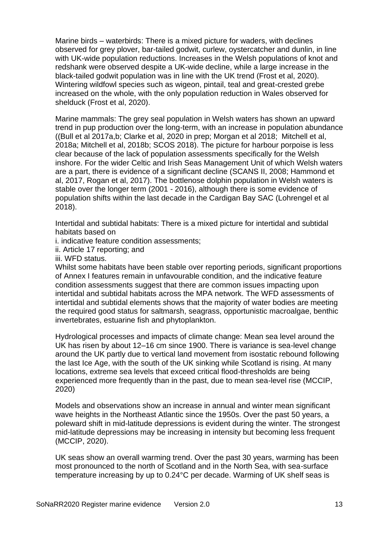Marine birds – waterbirds: There is a mixed picture for waders, with declines observed for grey plover, bar-tailed godwit, curlew, oystercatcher and dunlin, in line with UK-wide population reductions. Increases in the Welsh populations of knot and redshank were observed despite a UK-wide decline, while a large increase in the black-tailed godwit population was in line with the UK trend (Frost et al, 2020). Wintering wildfowl species such as wigeon, pintail, teal and great-crested grebe increased on the whole, with the only population reduction in Wales observed for shelduck (Frost et al, 2020).

Marine mammals: The grey seal population in Welsh waters has shown an upward trend in pup production over the long-term, with an increase in population abundance ((Bull et al 2017a,b; Clarke et al, 2020 in prep; Morgan et al 2018; Mitchell et al, 2018a; Mitchell et al, 2018b; SCOS 2018). The picture for harbour porpoise is less clear because of the lack of population assessments specifically for the Welsh inshore. For the wider Celtic and Irish Seas Management Unit of which Welsh waters are a part, there is evidence of a significant decline (SCANS II, 2008; Hammond et al, 2017, Rogan et al, 2017). The bottlenose dolphin population in Welsh waters is stable over the longer term (2001 - 2016), although there is some evidence of population shifts within the last decade in the Cardigan Bay SAC (Lohrengel et al 2018).

Intertidal and subtidal habitats: There is a mixed picture for intertidal and subtidal habitats based on

i. indicative feature condition assessments;

ii. Article 17 reporting; and

iii. WFD status.

Whilst some habitats have been stable over reporting periods, significant proportions of Annex I features remain in unfavourable condition, and the indicative feature condition assessments suggest that there are common issues impacting upon intertidal and subtidal habitats across the MPA network. The WFD assessments of intertidal and subtidal elements shows that the majority of water bodies are meeting the required good status for saltmarsh, seagrass, opportunistic macroalgae, benthic invertebrates, estuarine fish and phytoplankton.

Hydrological processes and impacts of climate change: Mean sea level around the UK has risen by about 12–16 cm since 1900. There is variance is sea-level change around the UK partly due to vertical land movement from isostatic rebound following the last Ice Age, with the south of the UK sinking while Scotland is rising. At many locations, extreme sea levels that exceed critical flood-thresholds are being experienced more frequently than in the past, due to mean sea-level rise (MCCIP, 2020)

Models and observations show an increase in annual and winter mean significant wave heights in the Northeast Atlantic since the 1950s. Over the past 50 years, a poleward shift in mid-latitude depressions is evident during the winter. The strongest mid-latitude depressions may be increasing in intensity but becoming less frequent (MCCIP, 2020).

UK seas show an overall warming trend. Over the past 30 years, warming has been most pronounced to the north of Scotland and in the North Sea, with sea-surface temperature increasing by up to 0.24°C per decade. Warming of UK shelf seas is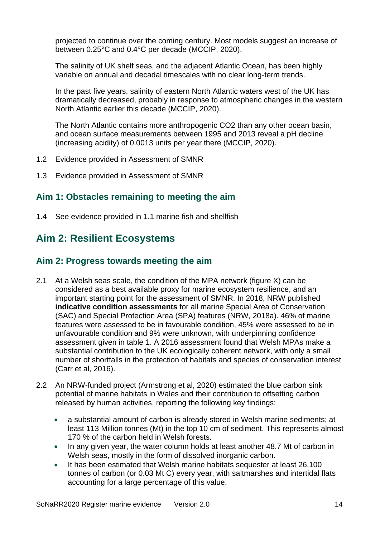projected to continue over the coming century. Most models suggest an increase of between 0.25°C and 0.4°C per decade (MCCIP, 2020).

The salinity of UK shelf seas, and the adjacent Atlantic Ocean, has been highly variable on annual and decadal timescales with no clear long-term trends.

In the past five years, salinity of eastern North Atlantic waters west of the UK has dramatically decreased, probably in response to atmospheric changes in the western North Atlantic earlier this decade (MCCIP, 2020).

The North Atlantic contains more anthropogenic CO2 than any other ocean basin, and ocean surface measurements between 1995 and 2013 reveal a pH decline (increasing acidity) of 0.0013 units per year there (MCCIP, 2020).

- 1.2 Evidence provided in Assessment of SMNR
- 1.3 Evidence provided in Assessment of SMNR

## **Aim 1: Obstacles remaining to meeting the aim**

1.4 See evidence provided in 1.1 marine fish and shellfish

## <span id="page-13-0"></span>**Aim 2: Resilient Ecosystems**

## **Aim 2: Progress towards meeting the aim**

- 2.1 At a Welsh seas scale, the condition of the MPA network (figure X) can be considered as a best available proxy for marine ecosystem resilience, and an important starting point for the assessment of SMNR. In 2018, NRW published **indicative condition assessments** for all marine Special Area of Conservation (SAC) and Special Protection Area (SPA) features (NRW, 2018a). 46% of marine features were assessed to be in favourable condition, 45% were assessed to be in unfavourable condition and 9% were unknown, with underpinning confidence assessment given in table 1. A 2016 assessment found that Welsh MPAs make a substantial contribution to the UK ecologically coherent network, with only a small number of shortfalls in the protection of habitats and species of conservation interest (Carr et al, 2016).
- 2.2 An NRW-funded project (Armstrong et al, 2020) estimated the blue carbon sink potential of marine habitats in Wales and their contribution to offsetting carbon released by human activities, reporting the following key findings:
	- a substantial amount of carbon is already stored in Welsh marine sediments; at least 113 Million tonnes (Mt) in the top 10 cm of sediment. This represents almost 170 % of the carbon held in Welsh forests.
	- In any given year, the water column holds at least another 48.7 Mt of carbon in Welsh seas, mostly in the form of dissolved inorganic carbon.
	- It has been estimated that Welsh marine habitats sequester at least 26,100 tonnes of carbon (or 0.03 Mt C) every year, with saltmarshes and intertidal flats accounting for a large percentage of this value.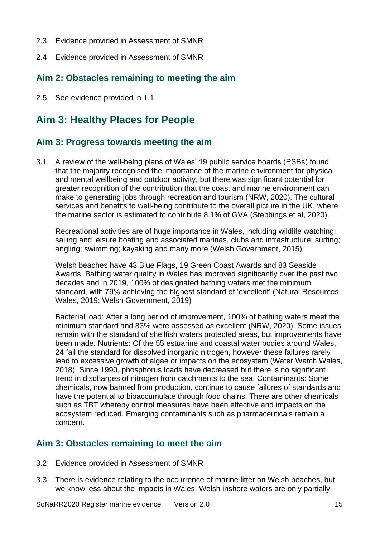- 2.3 Evidence provided in Assessment of SMNR
- 2.4 Evidence provided in Assessment of SMNR

## **Aim 2: Obstacles remaining to meeting the aim**

2.5 See evidence provided in 1.1

## <span id="page-14-0"></span>**Aim 3: Healthy Places for People**

## **Aim 3: Progress towards meeting the aim**

3.1 A review of the well-being plans of Wales' 19 public service boards (PSBs) found that the majority recognised the importance of the marine environment for physical and mental wellbeing and outdoor activity, but there was significant potential for greater recognition of the contribution that the coast and marine environment can make to generating jobs through recreation and tourism (NRW, 2020). The cultural services and benefits to well-being contribute to the overall picture in the UK, where the marine sector is estimated to contribute 8.1% of GVA (Stebbings et al, 2020).

Recreational activities are of huge importance in Wales, including wildlife watching; sailing and leisure boating and associated marinas, clubs and infrastructure; surfing; angling; swimming; kayaking and many more (Welsh Government, 2015).

Welsh beaches have 43 Blue Flags, 19 Green Coast Awards and 83 Seaside Awards. Bathing water quality in Wales has improved significantly over the past two decades and in 2019, 100% of designated bathing waters met the minimum standard, with 79% achieving the highest standard of 'excellent' (Natural Resources Wales, 2019; Welsh Government, 2019)

Bacterial load: After a long period of improvement, 100% of bathing waters meet the minimum standard and 83% were assessed as excellent (NRW, 2020). Some issues remain with the standard of shellfish waters protected areas, but improvements have been made. Nutrients: Of the 55 estuarine and coastal water bodies around Wales, 24 fail the standard for dissolved inorganic nitrogen, however these failures rarely lead to excessive growth of algae or impacts on the ecosystem (Water Watch Wales, 2018). Since 1990, phosphorus loads have decreased but there is no significant trend in discharges of nitrogen from catchments to the sea. Contaminants: Some chemicals, now banned from production, continue to cause failures of standards and have the potential to bioaccumulate through food chains. There are other chemicals such as TBT whereby control measures have been effective and impacts on the ecosystem reduced. Emerging contaminants such as pharmaceuticals remain a concern.

### **Aim 3: Obstacles remaining to meet the aim**

- 3.2 Evidence provided in Assessment of SMNR
- 3.3 There is evidence relating to the occurrence of marine litter on Welsh beaches, but we know less about the impacts in Wales. Welsh inshore waters are only partially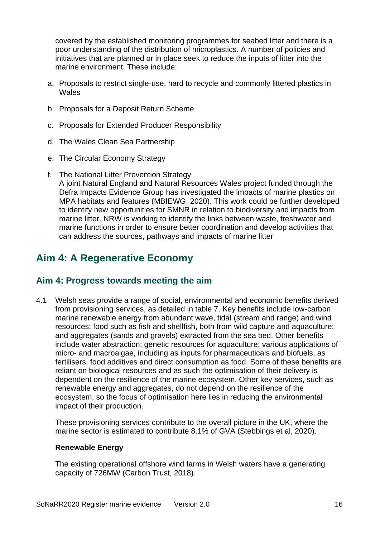covered by the established monitoring programmes for seabed litter and there is a poor understanding of the distribution of microplastics. A number of policies and initiatives that are planned or in place seek to reduce the inputs of litter into the marine environment. These include:

- a. Proposals to restrict single-use, hard to recycle and commonly littered plastics in Wales
- b. Proposals for a Deposit Return Scheme
- c. Proposals for Extended Producer Responsibility
- d. The Wales Clean Sea Partnership
- e. The Circular Economy Strategy
- f. The National Litter Prevention Strategy A joint Natural England and Natural Resources Wales project funded through the Defra Impacts Evidence Group has investigated the impacts of marine plastics on MPA habitats and features (MBIEWG, 2020). This work could be further developed to identify new opportunities for SMNR in relation to biodiversity and impacts from marine litter. NRW is working to identify the links between waste, freshwater and marine functions in order to ensure better coordination and develop activities that can address the sources, pathways and impacts of marine litter

## <span id="page-15-0"></span>**Aim 4: A Regenerative Economy**

## **Aim 4: Progress towards meeting the aim**

4.1 Welsh seas provide a range of social, environmental and economic benefits derived from provisioning services, as detailed in table 7. Key benefits include low-carbon marine renewable energy from abundant wave, tidal (stream and range) and wind resources; food such as fish and shellfish, both from wild capture and aquaculture; and aggregates (sands and gravels) extracted from the sea bed. Other benefits include water abstraction; genetic resources for aquaculture; various applications of micro- and macroalgae, including as inputs for pharmaceuticals and biofuels, as fertilisers, food additives and direct consumption as food. Some of these benefits are reliant on biological resources and as such the optimisation of their delivery is dependent on the resilience of the marine ecosystem. Other key services, such as renewable energy and aggregates, do not depend on the resilience of the ecosystem, so the focus of optimisation here lies in reducing the environmental impact of their production.

These provisioning services contribute to the overall picture in the UK, where the marine sector is estimated to contribute 8.1% of GVA (Stebbings et al, 2020).

#### **Renewable Energy**

The existing operational offshore wind farms in Welsh waters have a generating capacity of 726MW (Carbon Trust, 2018).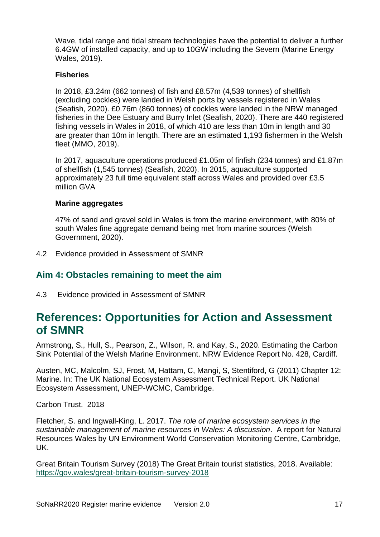Wave, tidal range and tidal stream technologies have the potential to deliver a further 6.4GW of installed capacity, and up to 10GW including the Severn (Marine Energy Wales, 2019).

#### **Fisheries**

In 2018, £3.24m (662 tonnes) of fish and £8.57m (4,539 tonnes) of shellfish (excluding cockles) were landed in Welsh ports by vessels registered in Wales (Seafish, 2020). £0.76m (860 tonnes) of cockles were landed in the NRW managed fisheries in the Dee Estuary and Burry Inlet (Seafish, 2020). There are 440 registered fishing vessels in Wales in 2018, of which 410 are less than 10m in length and 30 are greater than 10m in length. There are an estimated 1,193 fishermen in the Welsh fleet (MMO, 2019).

In 2017, aquaculture operations produced £1.05m of finfish (234 tonnes) and £1.87m of shellfish (1,545 tonnes) (Seafish, 2020). In 2015, aquaculture supported approximately 23 full time equivalent staff across Wales and provided over £3.5 million GVA

#### **Marine aggregates**

47% of sand and gravel sold in Wales is from the marine environment, with 80% of south Wales fine aggregate demand being met from marine sources (Welsh Government, 2020).

4.2 Evidence provided in Assessment of SMNR

## **Aim 4: Obstacles remaining to meet the aim**

4.3 Evidence provided in Assessment of SMNR

## <span id="page-16-0"></span>**References: Opportunities for Action and Assessment of SMNR**

Armstrong, S., Hull, S., Pearson, Z., Wilson, R. and Kay, S., 2020. Estimating the Carbon Sink Potential of the Welsh Marine Environment. NRW Evidence Report No. 428, Cardiff.

Austen, MC, Malcolm, SJ, Frost, M, Hattam, C, Mangi, S, Stentiford, G (2011) Chapter 12: Marine. In: The UK National Ecosystem Assessment Technical Report. UK National Ecosystem Assessment, UNEP-WCMC, Cambridge.

Carbon Trust. 2018

Fletcher, S. and Ingwall-King, L. 2017. *The role of marine ecosystem services in the sustainable management of marine resources in Wales: A discussion*. A report for Natural Resources Wales by UN Environment World Conservation Monitoring Centre, Cambridge, UK.

Great Britain Tourism Survey (2018) The Great Britain tourist statistics, 2018. Available: https://gov.wales/great-britain-tourism-survey-2018